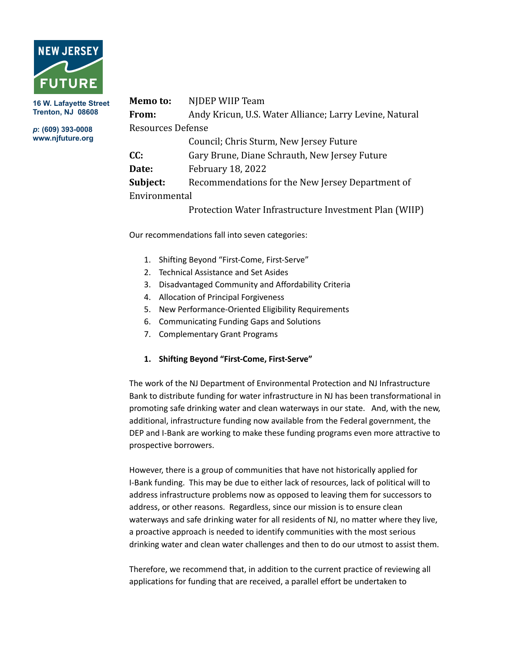

**16 W. Lafayette Street Trenton, NJ 08608**

*p***: (609) 393-0008 www.njfuture.org**

| Memo to:          | NJDEP WIIP Team                                         |
|-------------------|---------------------------------------------------------|
| From:             | Andy Kricun, U.S. Water Alliance; Larry Levine, Natural |
| Resources Defense |                                                         |
|                   | Council; Chris Sturm, New Jersey Future                 |
| CC:               | Gary Brune, Diane Schrauth, New Jersey Future           |
| Date:             | <b>February 18, 2022</b>                                |
| Subject:          | Recommendations for the New Jersey Department of        |
| Environmental     |                                                         |
|                   | Protection Water Infrastructure Investment Plan (WIIP)  |

Our recommendations fall into seven categories:

- 1. Shifting Beyond "First-Come, First-Serve"
- 2. Technical Assistance and Set Asides
- 3. Disadvantaged Community and Affordability Criteria
- 4. Allocation of Principal Forgiveness
- 5. New Performance-Oriented Eligibility Requirements
- 6. Communicating Funding Gaps and Solutions
- 7. Complementary Grant Programs

### **1. Shifting Beyond "First-Come, First-Serve"**

The work of the NJ Department of Environmental Protection and NJ Infrastructure Bank to distribute funding for water infrastructure in NJ has been transformational in promoting safe drinking water and clean waterways in our state. And, with the new, additional, infrastructure funding now available from the Federal government, the DEP and I-Bank are working to make these funding programs even more attractive to prospective borrowers.

However, there is a group of communities that have not historically applied for I-Bank funding. This may be due to either lack of resources, lack of political will to address infrastructure problems now as opposed to leaving them for successors to address, or other reasons. Regardless, since our mission is to ensure clean waterways and safe drinking water for all residents of NJ, no matter where they live, a proactive approach is needed to identify communities with the most serious drinking water and clean water challenges and then to do our utmost to assist them.

Therefore, we recommend that, in addition to the current practice of reviewing all applications for funding that are received, a parallel effort be undertaken to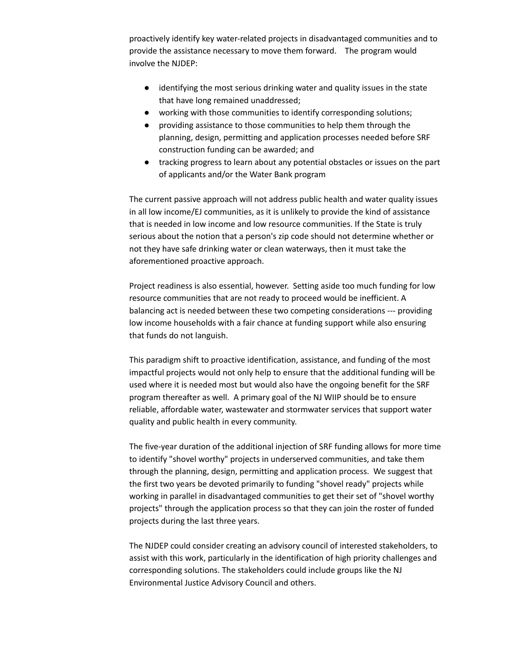proactively identify key water-related projects in disadvantaged communities and to provide the assistance necessary to move them forward. The program would involve the NJDEP:

- identifying the most serious drinking water and quality issues in the state that have long remained unaddressed;
- working with those communities to identify corresponding solutions;
- providing assistance to those communities to help them through the planning, design, permitting and application processes needed before SRF construction funding can be awarded; and
- tracking progress to learn about any potential obstacles or issues on the part of applicants and/or the Water Bank program

The current passive approach will not address public health and water quality issues in all low income/EJ communities, as it is unlikely to provide the kind of assistance that is needed in low income and low resource communities. If the State is truly serious about the notion that a person's zip code should not determine whether or not they have safe drinking water or clean waterways, then it must take the aforementioned proactive approach.

Project readiness is also essential, however. Setting aside too much funding for low resource communities that are not ready to proceed would be inefficient. A balancing act is needed between these two competing considerations --- providing low income households with a fair chance at funding support while also ensuring that funds do not languish.

This paradigm shift to proactive identification, assistance, and funding of the most impactful projects would not only help to ensure that the additional funding will be used where it is needed most but would also have the ongoing benefit for the SRF program thereafter as well. A primary goal of the NJ WIIP should be to ensure reliable, affordable water, wastewater and stormwater services that support water quality and public health in every community.

The five-year duration of the additional injection of SRF funding allows for more time to identify "shovel worthy" projects in underserved communities, and take them through the planning, design, permitting and application process. We suggest that the first two years be devoted primarily to funding "shovel ready" projects while working in parallel in disadvantaged communities to get their set of "shovel worthy projects" through the application process so that they can join the roster of funded projects during the last three years.

The NJDEP could consider creating an advisory council of interested stakeholders, to assist with this work, particularly in the identification of high priority challenges and corresponding solutions. The stakeholders could include groups like the NJ Environmental Justice Advisory Council and others.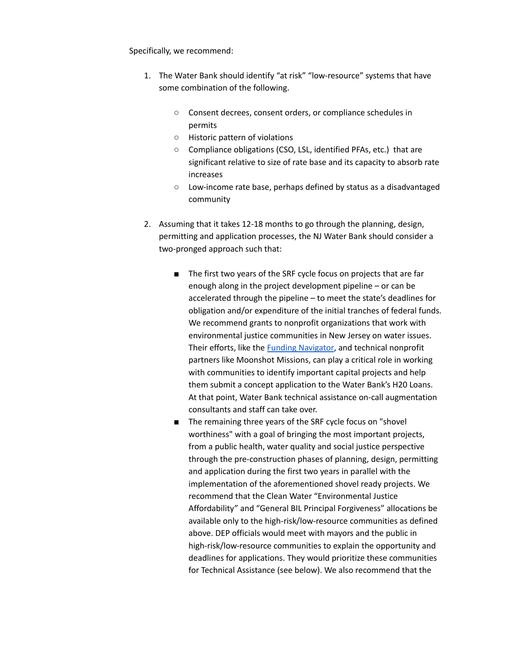Specifically, we recommend:

- 1. The Water Bank should identify "at risk" "low-resource" systems that have some combination of the following.
	- Consent decrees, consent orders, or compliance schedules in permits
	- Historic pattern of violations
	- Compliance obligations (CSO, LSL, identified PFAs, etc.) that are significant relative to size of rate base and its capacity to absorb rate increases
	- Low-income rate base, perhaps defined by status as a disadvantaged community
- 2. Assuming that it takes 12-18 months to go through the planning, design, permitting and application processes, the NJ Water Bank should consider a two-pronged approach such that:
	- The first two years of the SRF cycle focus on projects that are far enough along in the project development pipeline – or can be accelerated through the pipeline – to meet the state's deadlines for obligation and/or expenditure of the initial tranches of federal funds. We recommend grants to nonprofit organizations that work with environmental justice communities in New Jersey on water issues. Their efforts, like the Funding [Navigator](https://static1.squarespace.com/static/611cc20b78b5f677dad664ab/t/61e098a52fd1d003b4a181d1/1642109093829/Funding+Navigator+Overview.pdf), and technical nonprofit partners like Moonshot Missions, can play a critical role in working with communities to identify important capital projects and help them submit a concept application to the Water Bank's H20 Loans. At that point, Water Bank technical assistance on-call augmentation consultants and staff can take over.
	- The remaining three years of the SRF cycle focus on "shovel worthiness" with a goal of bringing the most important projects, from a public health, water quality and social justice perspective through the pre-construction phases of planning, design, permitting and application during the first two years in parallel with the implementation of the aforementioned shovel ready projects. We recommend that the Clean Water "Environmental Justice Affordability" and "General BIL Principal Forgiveness" allocations be available only to the high-risk/low-resource communities as defined above. DEP officials would meet with mayors and the public in high-risk/low-resource communities to explain the opportunity and deadlines for applications. They would prioritize these communities for Technical Assistance (see below). We also recommend that the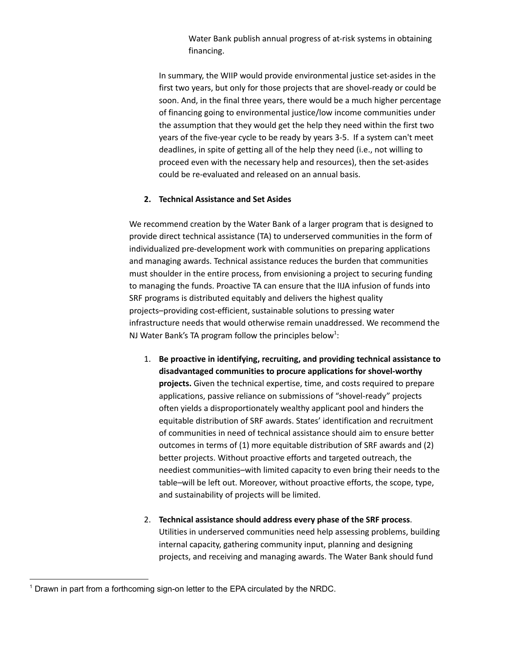Water Bank publish annual progress of at-risk systems in obtaining financing.

In summary, the WIIP would provide environmental justice set-asides in the first two years, but only for those projects that are shovel-ready or could be soon. And, in the final three years, there would be a much higher percentage of financing going to environmental justice/low income communities under the assumption that they would get the help they need within the first two years of the five-year cycle to be ready by years 3-5. If a system can't meet deadlines, in spite of getting all of the help they need (i.e., not willing to proceed even with the necessary help and resources), then the set-asides could be re-evaluated and released on an annual basis.

# **2. Technical Assistance and Set Asides**

We recommend creation by the Water Bank of a larger program that is designed to provide direct technical assistance (TA) to underserved communities in the form of individualized pre-development work with communities on preparing applications and managing awards. Technical assistance reduces the burden that communities must shoulder in the entire process, from envisioning a project to securing funding to managing the funds. Proactive TA can ensure that the IIJA infusion of funds into SRF programs is distributed equitably and delivers the highest quality projects–providing cost-efficient, sustainable solutions to pressing water infrastructure needs that would otherwise remain unaddressed. We recommend the NJ Water Bank's TA program follow the principles below<sup>1</sup>:

- 1. **Be proactive in identifying, recruiting, and providing technical assistance to disadvantaged communities to procure applications for shovel-worthy projects.** Given the technical expertise, time, and costs required to prepare applications, passive reliance on submissions of "shovel-ready" projects often yields a disproportionately wealthy applicant pool and hinders the equitable distribution of SRF awards. States' identification and recruitment of communities in need of technical assistance should aim to ensure better outcomes in terms of (1) more equitable distribution of SRF awards and (2) better projects. Without proactive efforts and targeted outreach, the neediest communities–with limited capacity to even bring their needs to the table–will be left out. Moreover, without proactive efforts, the scope, type, and sustainability of projects will be limited.
- 2. **Technical assistance should address every phase of the SRF process**. Utilities in underserved communities need help assessing problems, building internal capacity, gathering community input, planning and designing projects, and receiving and managing awards. The Water Bank should fund

 $1$  Drawn in part from a forthcoming sign-on letter to the EPA circulated by the NRDC.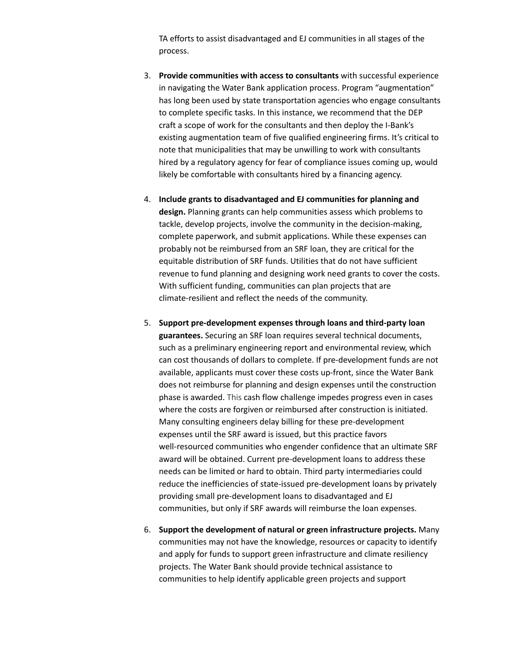TA efforts to assist disadvantaged and EJ communities in all stages of the process.

- 3. **Provide communities with access to consultants** with successful experience in navigating the Water Bank application process. Program "augmentation" has long been used by state transportation agencies who engage consultants to complete specific tasks. In this instance, we recommend that the DEP craft a scope of work for the consultants and then deploy the I-Bank's existing augmentation team of five qualified engineering firms. It's critical to note that municipalities that may be unwilling to work with consultants hired by a regulatory agency for fear of compliance issues coming up, would likely be comfortable with consultants hired by a financing agency.
- 4. **Include grants to disadvantaged and EJ communities for planning and design.** Planning grants can help communities assess which problems to tackle, develop projects, involve the community in the decision-making, complete paperwork, and submit applications. While these expenses can probably not be reimbursed from an SRF loan, they are critical for the equitable distribution of SRF funds. Utilities that do not have sufficient revenue to fund planning and designing work need grants to cover the costs. With sufficient funding, communities can plan projects that are climate-resilient and reflect the needs of the community.
- 5. **Support pre-development expenses through loans and third-party loan guarantees.** Securing an SRF loan requires several technical documents, such as a preliminary engineering report and environmental review, which can cost thousands of dollars to complete. If pre-development funds are not available, applicants must cover these costs up-front, since the Water Bank does not reimburse for planning and design expenses until the construction phase is awarded. This cash flow challenge impedes progress even in cases where the costs are forgiven or reimbursed after construction is initiated. Many consulting engineers delay billing for these pre-development expenses until the SRF award is issued, but this practice favors well-resourced communities who engender confidence that an ultimate SRF award will be obtained. Current pre-development loans to address these needs can be limited or hard to obtain. Third party intermediaries could reduce the inefficiencies of state-issued pre-development loans by privately providing small pre-development loans to disadvantaged and EJ communities, but only if SRF awards will reimburse the loan expenses.
- 6. **Support the development of natural or green infrastructure projects.** Many communities may not have the knowledge, resources or capacity to identify and apply for funds to support green infrastructure and climate resiliency projects. The Water Bank should provide technical assistance to communities to help identify applicable green projects and support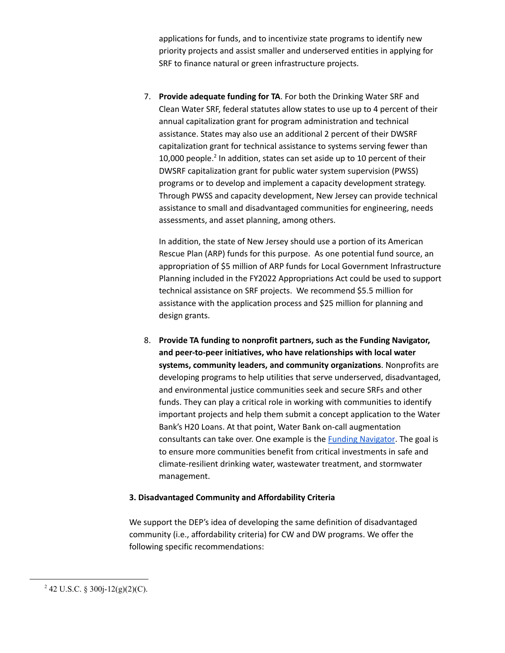applications for funds, and to incentivize state programs to identify new priority projects and assist smaller and underserved entities in applying for SRF to finance natural or green infrastructure projects.

7. **Provide adequate funding for TA**. For both the Drinking Water SRF and Clean Water SRF, federal statutes allow states to use up to 4 percent of their annual capitalization grant for program administration and technical assistance. States may also use an additional 2 percent of their DWSRF capitalization grant for technical assistance to systems serving fewer than 10,000 people.<sup>2</sup> In addition, states can set aside up to 10 percent of their DWSRF capitalization grant for public water system supervision (PWSS) programs or to develop and implement a capacity development strategy. Through PWSS and capacity development, New Jersey can provide technical assistance to small and disadvantaged communities for engineering, needs assessments, and asset planning, among others.

In addition, the state of New Jersey should use a portion of its American Rescue Plan (ARP) funds for this purpose. As one potential fund source, an appropriation of \$5 million of ARP funds for Local Government Infrastructure Planning included in the FY2022 Appropriations Act could be used to support technical assistance on SRF projects. We recommend \$5.5 million for assistance with the application process and \$25 million for planning and design grants.

8. **Provide TA funding to nonprofit partners, such as the Funding Navigator, and peer-to-peer initiatives, who have relationships with local water systems, community leaders, and community organizations**. Nonprofits are developing programs to help utilities that serve underserved, disadvantaged, and environmental justice communities seek and secure SRFs and other funds. They can play a critical role in working with communities to identify important projects and help them submit a concept application to the Water Bank's H20 Loans. At that point, Water Bank on-call augmentation consultants can take over. One example is the **Funding [Navigator](https://static1.squarespace.com/static/611cc20b78b5f677dad664ab/t/61e098a52fd1d003b4a181d1/1642109093829/Funding+Navigator+Overview.pdf)**. The goal is to ensure more communities benefit from critical investments in safe and climate-resilient drinking water, wastewater treatment, and stormwater management.

### **3. Disadvantaged Community and Affordability Criteria**

We support the DEP's idea of developing the same definition of disadvantaged community (i.e., affordability criteria) for CW and DW programs. We offer the following specific recommendations:

 $2$  42 U.S.C. § 300j-12(g)(2)(C).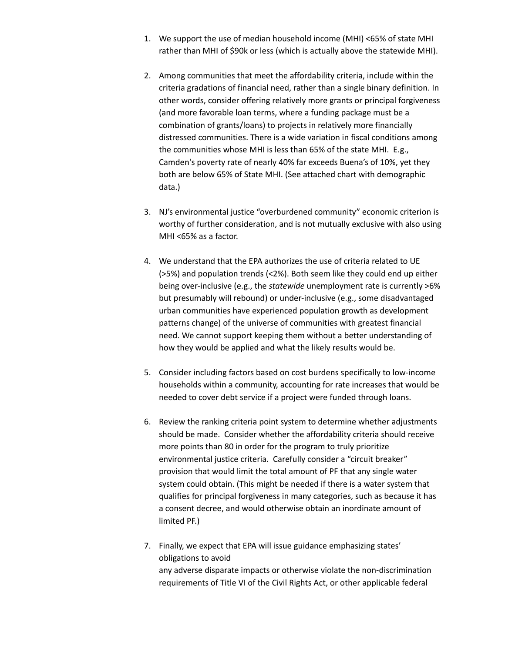- 1. We support the use of median household income (MHI) <65% of state MHI rather than MHI of \$90k or less (which is actually above the statewide MHI).
- 2. Among communities that meet the affordability criteria, include within the criteria gradations of financial need, rather than a single binary definition. In other words, consider offering relatively more grants or principal forgiveness (and more favorable loan terms, where a funding package must be a combination of grants/loans) to projects in relatively more financially distressed communities. There is a wide variation in fiscal conditions among the communities whose MHI is less than 65% of the state MHI. E.g., Camden's poverty rate of nearly 40% far exceeds Buena's of 10%, yet they both are below 65% of State MHI. (See attached chart with demographic data.)
- 3. NJ's environmental justice "overburdened community" economic criterion is worthy of further consideration, and is not mutually exclusive with also using MHI <65% as a factor.
- 4. We understand that the EPA authorizes the use of criteria related to UE (>5%) and population trends (<2%). Both seem like they could end up either being over-inclusive (e.g., the *statewide* unemployment rate is currently >6% but presumably will rebound) or under-inclusive (e.g., some disadvantaged urban communities have experienced population growth as development patterns change) of the universe of communities with greatest financial need. We cannot support keeping them without a better understanding of how they would be applied and what the likely results would be.
- 5. Consider including factors based on cost burdens specifically to low-income households within a community, accounting for rate increases that would be needed to cover debt service if a project were funded through loans.
- 6. Review the ranking criteria point system to determine whether adjustments should be made. Consider whether the affordability criteria should receive more points than 80 in order for the program to truly prioritize environmental justice criteria. Carefully consider a "circuit breaker" provision that would limit the total amount of PF that any single water system could obtain. (This might be needed if there is a water system that qualifies for principal forgiveness in many categories, such as because it has a consent decree, and would otherwise obtain an inordinate amount of limited PF.)
- 7. Finally, we expect that EPA will issue guidance emphasizing states' obligations to avoid any adverse disparate impacts or otherwise violate the non-discrimination requirements of Title VI of the Civil Rights Act, or other applicable federal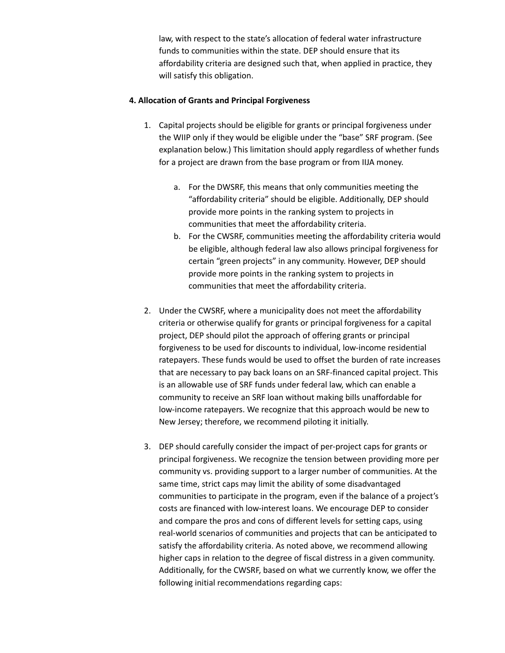law, with respect to the state's allocation of federal water infrastructure funds to communities within the state. DEP should ensure that its affordability criteria are designed such that, when applied in practice, they will satisfy this obligation.

## **4. Allocation of Grants and Principal Forgiveness**

- 1. Capital projects should be eligible for grants or principal forgiveness under the WIIP only if they would be eligible under the "base" SRF program. (See explanation below.) This limitation should apply regardless of whether funds for a project are drawn from the base program or from IIJA money.
	- a. For the DWSRF, this means that only communities meeting the "affordability criteria" should be eligible. Additionally, DEP should provide more points in the ranking system to projects in communities that meet the affordability criteria.
	- b. For the CWSRF, communities meeting the affordability criteria would be eligible, although federal law also allows principal forgiveness for certain "green projects" in any community. However, DEP should provide more points in the ranking system to projects in communities that meet the affordability criteria.
- 2. Under the CWSRF, where a municipality does not meet the affordability criteria or otherwise qualify for grants or principal forgiveness for a capital project, DEP should pilot the approach of offering grants or principal forgiveness to be used for discounts to individual, low-income residential ratepayers. These funds would be used to offset the burden of rate increases that are necessary to pay back loans on an SRF-financed capital project. This is an allowable use of SRF funds under federal law, which can enable a community to receive an SRF loan without making bills unaffordable for low-income ratepayers. We recognize that this approach would be new to New Jersey; therefore, we recommend piloting it initially.
- 3. DEP should carefully consider the impact of per-project caps for grants or principal forgiveness. We recognize the tension between providing more per community vs. providing support to a larger number of communities. At the same time, strict caps may limit the ability of some disadvantaged communities to participate in the program, even if the balance of a project's costs are financed with low-interest loans. We encourage DEP to consider and compare the pros and cons of different levels for setting caps, using real-world scenarios of communities and projects that can be anticipated to satisfy the affordability criteria. As noted above, we recommend allowing higher caps in relation to the degree of fiscal distress in a given community. Additionally, for the CWSRF, based on what we currently know, we offer the following initial recommendations regarding caps: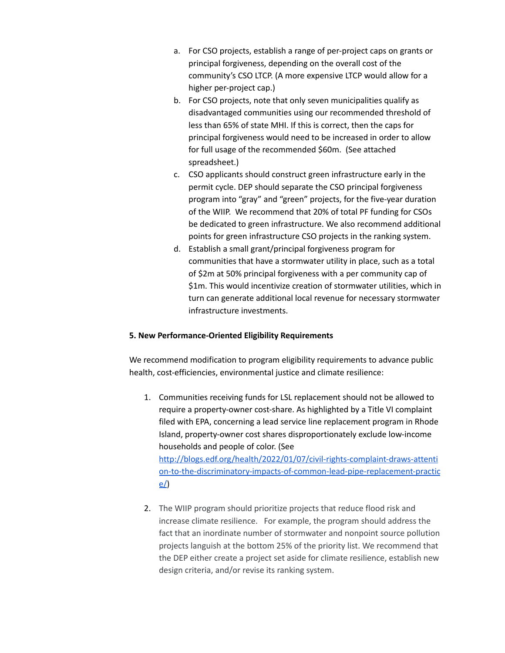- a. For CSO projects, establish a range of per-project caps on grants or principal forgiveness, depending on the overall cost of the community's CSO LTCP. (A more expensive LTCP would allow for a higher per-project cap.)
- b. For CSO projects, note that only seven municipalities qualify as disadvantaged communities using our recommended threshold of less than 65% of state MHI. If this is correct, then the caps for principal forgiveness would need to be increased in order to allow for full usage of the recommended \$60m. (See attached spreadsheet.)
- c. CSO applicants should construct green infrastructure early in the permit cycle. DEP should separate the CSO principal forgiveness program into "gray" and "green" projects, for the five-year duration of the WIIP. We recommend that 20% of total PF funding for CSOs be dedicated to green infrastructure. We also recommend additional points for green infrastructure CSO projects in the ranking system.
- d. Establish a small grant/principal forgiveness program for communities that have a stormwater utility in place, such as a total of \$2m at 50% principal forgiveness with a per community cap of \$1m. This would incentivize creation of stormwater utilities, which in turn can generate additional local revenue for necessary stormwater infrastructure investments.

## **5. New Performance-Oriented Eligibility Requirements**

We recommend modification to program eligibility requirements to advance public health, cost-efficiencies, environmental justice and climate resilience:

1. Communities receiving funds for LSL replacement should not be allowed to require a property-owner cost-share. As highlighted by a Title VI complaint filed with EPA, concerning a lead service line replacement program in Rhode Island, property-owner cost shares disproportionately exclude low-income households and people of color. (See [http://blogs.edf.org/health/2022/01/07/civil-rights-complaint-draws-attenti](http://blogs.edf.org/health/2022/01/07/civil-rights-complaint-draws-attention-to-the-discriminatory-impacts-of-common-lead-pipe-replacement-practice/) [on-to-the-discriminatory-impacts-of-common-lead-pipe-replacement-practic](http://blogs.edf.org/health/2022/01/07/civil-rights-complaint-draws-attention-to-the-discriminatory-impacts-of-common-lead-pipe-replacement-practice/)

[e/](http://blogs.edf.org/health/2022/01/07/civil-rights-complaint-draws-attention-to-the-discriminatory-impacts-of-common-lead-pipe-replacement-practice/))

2. The WIIP program should prioritize projects that reduce flood risk and increase climate resilience. For example, the program should address the fact that an inordinate number of stormwater and nonpoint source pollution projects languish at the bottom 25% of the priority list. We recommend that the DEP either create a project set aside for climate resilience, establish new design criteria, and/or revise its ranking system.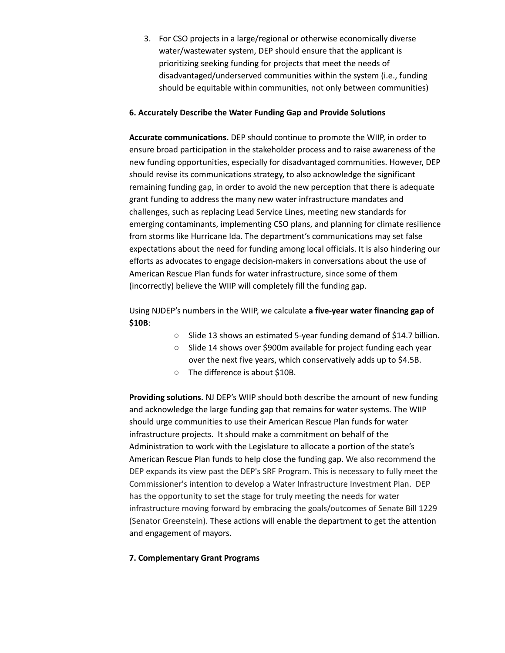3. For CSO projects in a large/regional or otherwise economically diverse water/wastewater system, DEP should ensure that the applicant is prioritizing seeking funding for projects that meet the needs of disadvantaged/underserved communities within the system (i.e., funding should be equitable within communities, not only between communities)

## **6. Accurately Describe the Water Funding Gap and Provide Solutions**

**Accurate communications.** DEP should continue to promote the WIIP, in order to ensure broad participation in the stakeholder process and to raise awareness of the new funding opportunities, especially for disadvantaged communities. However, DEP should revise its communications strategy, to also acknowledge the significant remaining funding gap, in order to avoid the new perception that there is adequate grant funding to address the many new water infrastructure mandates and challenges, such as replacing Lead Service Lines, meeting new standards for emerging contaminants, implementing CSO plans, and planning for climate resilience from storms like Hurricane Ida. The department's communications may set false expectations about the need for funding among local officials. It is also hindering our efforts as advocates to engage decision-makers in conversations about the use of American Rescue Plan funds for water infrastructure, since some of them (incorrectly) believe the WIIP will completely fill the funding gap.

Using NJDEP's numbers in the WIIP, we calculate **a five-year water financing gap of \$10B**:

- Slide 13 shows an estimated 5-year funding demand of \$14.7 billion.
- Slide 14 shows over \$900m available for project funding each year over the next five years, which conservatively adds up to \$4.5B.
- The difference is about \$10B.

**Providing solutions.** NJ DEP's WIIP should both describe the amount of new funding and acknowledge the large funding gap that remains for water systems. The WIIP should urge communities to use their American Rescue Plan funds for water infrastructure projects. It should make a commitment on behalf of the Administration to work with the Legislature to allocate a portion of the state's American Rescue Plan funds to help close the funding gap. We also recommend the DEP expands its view past the DEP's SRF Program. This is necessary to fully meet the Commissioner's intention to develop a Water Infrastructure Investment Plan. DEP has the opportunity to set the stage for truly meeting the needs for water infrastructure moving forward by embracing the goals/outcomes of Senate Bill 1229 (Senator Greenstein). These actions will enable the department to get the attention and engagement of mayors.

## **7. Complementary Grant Programs**